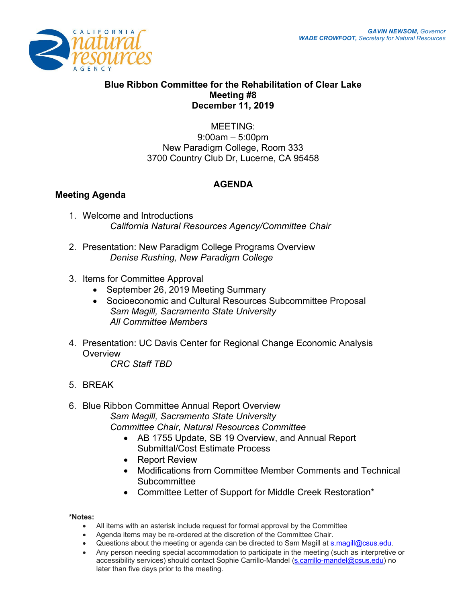

## **Blue Ribbon Committee for the Rehabilitation of Clear Lake Meeting #8 December 11, 2019**

MEETING: 9:00am – 5:00pm New Paradigm College, Room 333 3700 Country Club Dr, Lucerne, CA 95458

## **AGENDA**

## **Meeting Agenda**

- 1. Welcome and Introductions *California Natural Resources Agency/Committee Chair*
- 2. Presentation: New Paradigm College Programs Overview *Denise Rushing, New Paradigm College*
- 3. Items for Committee Approval
	- September 26, 2019 Meeting Summary
	- Socioeconomic and Cultural Resources Subcommittee Proposal *Sam Magill, Sacramento State University All Committee Members*
- 4. Presentation: UC Davis Center for Regional Change Economic Analysis **Overview**

*CRC Staff TBD*

- 5. BREAK
- 6. Blue Ribbon Committee Annual Report Overview *Sam Magill, Sacramento State University Committee Chair, Natural Resources Committee* 
	- AB 1755 Update, SB 19 Overview, and Annual Report Submittal/Cost Estimate Process
	- Report Review
	- Modifications from Committee Member Comments and Technical Subcommittee
	- Committee Letter of Support for Middle Creek Restoration\*

**\*Notes:** 

- All items with an asterisk include request for formal approval by the Committee
- Agenda items may be re-ordered at the discretion of the Committee Chair.
- Questions about the meeting or agenda can be directed to Sam Magill at s.magill@csus.edu.
- Any person needing special accommodation to participate in the meeting (such as interpretive or accessibility services) should contact Sophie Carrillo-Mandel (s.carrillo-mandel@csus.edu) no later than five days prior to the meeting.